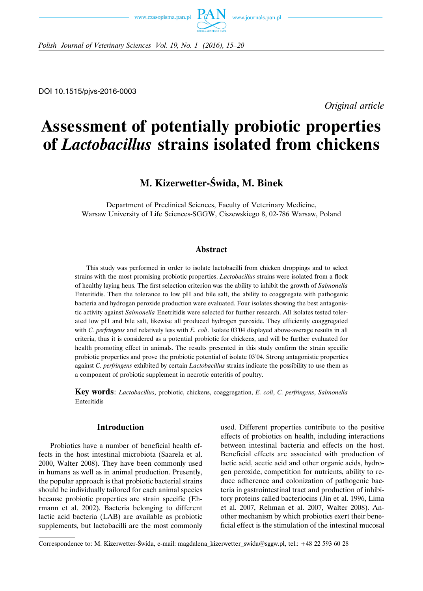



*Polish Journal of Veterinary Sciences Vol. 19, No. 1 (2016), 15–20*

DOI 10.1515/pjvs-2016-0003

*Original article*

# **Assessment of potentially probiotic properties of** *Lactobacillus* **strains isolated from chickens**

# **M. Kizerwetter-Świda, M. Binek**

Department of Preclinical Sciences, Faculty of Veterinary Medicine, Warsaw University of Life Sciences-SGGW, Ciszewskiego 8, 02-786 Warsaw, Poland

#### **Abstract**

This study was performed in order to isolate lactobacilli from chicken droppings and to select strains with the most promising probiotic properties. *Lactobacillus* strains were isolated from a flock of healthy laying hens. The first selection criterion was the ability to inhibit the growth of *Salmonella* Enteritidis. Then the tolerance to low pH and bile salt, the ability to coaggregate with pathogenic bacteria and hydrogen peroxide production were evaluated. Four isolates showing the best antagonistic activity against *Salmonella* Enetritidis were selected for further research. All isolates tested tolerated low pH and bile salt, likewise all produced hydrogen peroxide. They efficiently coaggregated with *C. perfringens* and relatively less with *E. coli*. Isolate 03'04 displayed above-average results in all criteria, thus it is considered as a potential probiotic for chickens, and will be further evaluated for health promoting effect in animals. The results presented in this study confirm the strain specific probiotic properties and prove the probiotic potential of isolate 03'04. Strong antagonistic properties against *C. perfringens* exhibited by certain *Lactobacillus* strains indicate the possibility to use them as a component of probiotic supplement in necrotic enteritis of poultry.

**Key words**: *Lactobacillus*, probiotic, chickens, coaggregation, *E. coli*, *C. perfringens*, *Salmonella* Enteritidis

## **Introduction**

Probiotics have a number of beneficial health effects in the host intestinal microbiota (Saarela et al. 2000, Walter 2008). They have been commonly used in humans as well as in animal production. Presently, the popular approach is that probiotic bacterial strains should be individually tailored for each animal species because probiotic properties are strain specific (Ehrmann et al. 2002). Bacteria belonging to different lactic acid bacteria (LAB) are available as probiotic supplements, but lactobacilli are the most commonly

used. Different properties contribute to the positive effects of probiotics on health, including interactions between intestinal bacteria and effects on the host. Beneficial effects are associated with production of lactic acid, acetic acid and other organic acids, hydrogen peroxide, competition for nutrients, ability to reduce adherence and colonization of pathogenic bacteria in gastrointestinal tract and production of inhibitory proteins called bacteriocins (Jin et al. 1996, Lima et al. 2007, Rehman et al. 2007, Walter 2008). Another mechanism by which probiotics exert their beneficial effect is the stimulation of the intestinal mucosal

Correspondence to: M. Kizerwetter-Świda, e-mail: magdalena–kizerwetter–swida@sggw.pl, tel.: +48 22 593 60 28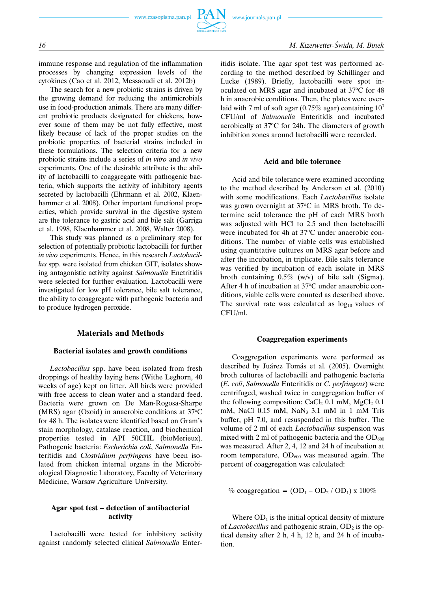

immune response and regulation of the inflammation processes by changing expression levels of the cytokines (Cao et al. 2012, Messaoudi et al. 2012b)

The search for a new probiotic strains is driven by the growing demand for reducing the antimicrobials use in food-production animals. There are many different probiotic products designated for chickens, however some of them may be not fully effective, most likely because of lack of the proper studies on the probiotic properties of bacterial strains included in these formulations. The selection criteria for a new probiotic strains include a series of *in vitro* and *in vivo* experiments. One of the desirable attribute is the ability of lactobacilli to coaggregate with pathogenic bacteria, which supports the activity of inhibitory agents secreted by lactobacilli (Ehrmann et al. 2002, Klaenhammer et al. 2008). Other important functional properties, which provide survival in the digestive system are the tolerance to gastric acid and bile salt (Garriga et al. 1998, Klaenhammer et al. 2008, Walter 2008).

This study was planned as a preliminary step for selection of potentially probiotic lactobacilli for further *in vivo* experiments. Hence, in this research *Lactobacillus* spp. were isolated from chicken GIT, isolates showing antagonistic activity against *Salmonella* Enetritidis were selected for further evaluation. Lactobacilli were investigated for low pH tolerance, bile salt tolerance, the ability to coaggregate with pathogenic bacteria and to produce hydrogen peroxide.

# **Materials and Methods**

#### **Bacterial isolates and growth conditions**

*Lactobacillus* spp. have been isolated from fresh droppings of healthy laying hens (Withe Leghorn, 40 weeks of age) kept on litter. All birds were provided with free access to clean water and a standard feed. Bacteria were grown on De Man-Rogosa-Sharpe (MRS) agar (Oxoid) in anaerobic conditions at 37°C for 48 h. The isolates were identified based on Gram's stain morphology, catalase reaction, and biochemical properties tested in API 50CHL (bioMerieux). Pathogenic bacteria: *Escherichia coli*, *Salmonella* Enteritidis and *Clostridium perfringens* have been isolated from chicken internal organs in the Microbiological Diagnostic Laboratory, Faculty of Veterinary Medicine, Warsaw Agriculture University.

#### **Agar spot test – detection of antibacterial activity**

Lactobacilli were tested for inhibitory activity against randomly selected clinical *Salmonella* Enteritidis isolate. The agar spot test was performed according to the method described by Schillinger and Lucke (1989). Briefly, lactobacilli were spot inoculated on MRS agar and incubated at 37°C for 48 h in anaerobic conditions. Then, the plates were overlaid with 7 ml of soft agar (0.75% agar) containing  $10<sup>7</sup>$ CFU/ml of *Salmonella* Enteritidis and incubated aerobically at 37°C for 24h. The diameters of growth inhibition zones around lactobacilli were recorded.

#### **Acid and bile tolerance**

Acid and bile tolerance were examined according to the method described by Anderson et al. (2010) with some modifications. Each *Lactobacillus* isolate was grown overnight at 37°C in MRS broth. To determine acid tolerance the pH of each MRS broth was adjusted with HCl to 2.5 and then lactobacilli were incubated for 4h at 37°C under anaerobic conditions. The number of viable cells was established using quantitative cultures on MRS agar before and after the incubation, in triplicate. Bile salts tolerance was verified by incubation of each isolate in MRS broth containing 0.5% (w/v) of bile salt (Sigma). After 4 h of incubation at 37°C under anaerobic conditions, viable cells were counted as described above. The survival rate was calculated as  $log_{10}$  values of CFU/ml.

#### **Coaggregation experiments**

Coaggregation experiments were performed as described by Juárez Tomás et al. (2005). Overnight broth cultures of lactobacilli and pathogenic bacteria (*E. coli*, *Salmonella* Enteritidis or *C. perfringens*) were centrifuged, washed twice in coaggregation buffer of the following composition:  $CaCl<sub>2</sub> 0.1$  mM,  $MgCl<sub>2</sub> 0.1$ mM, NaCl 0.15 mM, NaN<sub>3</sub> 3.1 mM in 1 mM Tris buffer, pH 7.0, and resuspended in this buffer. The volume of 2 ml of each *Lactobacillus* suspension was mixed with 2 ml of pathogenic bacteria and the  $OD_{600}$ was measured. After 2, 4, 12 and 24 h of incubation at room temperature,  $OD_{600}$  was measured again. The percent of coaggregation was calculated:

% coaggregation =  $(OD_1 - OD_2 / OD_1)$  x 100%

Where  $OD_1$  is the initial optical density of mixture of *Lactobacillus* and pathogenic strain, OD<sub>2</sub> is the optical density after 2 h, 4 h, 12 h, and 24 h of incubation.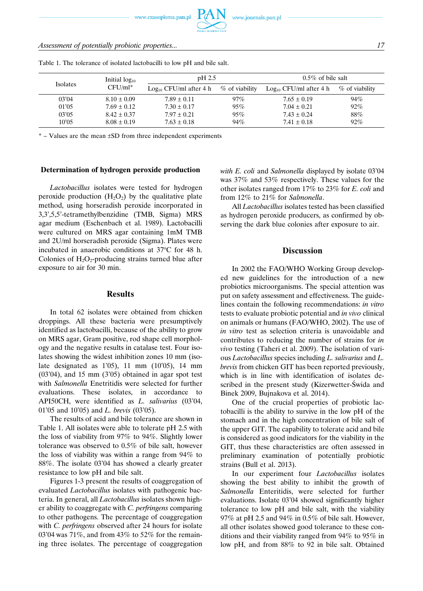www.czasopisma.pan.pl

www.journals.pan.pl

| Table 1. The tolerance of isolated lactobacilli to low pH and bile salt. |                                  |                          |                   |                          |                   |
|--------------------------------------------------------------------------|----------------------------------|--------------------------|-------------------|--------------------------|-------------------|
| <b>Isolates</b>                                                          | Initial $log_{10}$<br>$CFU/ml^*$ | $pH$ 2.5                 |                   | $0.5\%$ of bile salt     |                   |
|                                                                          |                                  | $Log10 CFU/ml$ after 4 h | $\%$ of viability | $Log10 CFU/ml$ after 4 h | $\%$ of viability |
| 03'04                                                                    | $8.10 \pm 0.09$                  | $7.89 \pm 0.11$          | $97\%$            | $7.65 \pm 0.19$          | 94%               |
| 01'05                                                                    | $7.69 \pm 0.12$                  | $7.30 \pm 0.17$          | 95%               | $7.04 \pm 0.21$          | $92\%$            |
| 03'05                                                                    | $8.42 \pm 0.37$                  | $7.97 \pm 0.21$          | 95%               | $7.43 \pm 0.24$          | 88%               |

 $10'05$   $8.08 \pm 0.19$   $7.63 \pm 0.18$   $94\%$   $7.41 \pm 0.18$   $92\%$ 

\* – Values are the mean ±SD from three independent experiments

#### **Determination of hydrogen peroxide production**

*Lactobacillus* isolates were tested for hydrogen peroxide production  $(H_2O_2)$  by the qualitative plate method, using horseradish peroxide incorporated in 3,3',5,5'-tetramethylbenzidine (TMB, Sigma) MRS agar medium (Eschenbach et al. 1989). Lactobacilli were cultured on MRS agar containing 1mM TMB and 2U/ml horseradish peroxide (Sigma). Plates were incubated in anaerobic conditions at  $37^{\circ}$ C for 48 h. Colonies of  $H_2O_2$ -producing strains turned blue after exposure to air for 30 min.

#### **Results**

In total 62 isolates were obtained from chicken droppings. All these bacteria were presumptively identified as lactobacilli, because of the ability to grow on MRS agar, Gram positive, rod shape cell morphology and the negative results in catalase test. Four isolates showing the widest inhibition zones 10 mm (isolate designated as 1'05), 11 mm (10'05), 14 mm (03'04), and 15 mm (3'05) obtained in agar spot test with *Salmonella* Enetritidis were selected for further evaluations. These isolates, in accordance to API50CH, were identified as *L. salivarius* (03'04, 01'05 and 10'05) and *L. brevis* (03'05).

The results of acid and bile tolerance are shown in Table 1. All isolates were able to tolerate pH 2.5 with the loss of viability from 97% to 94%. Slightly lower tolerance was observed to 0.5% of bile salt, however the loss of viability was within a range from 94% to 88%. The isolate 03'04 has showed a clearly greater resistance to low pH and bile salt.

Figures 1-3 present the results of coaggregation of evaluated *Lactobacillus* isolates with pathogenic bacteria. In general, all *Lactobacillus* isolates shown higher ability to coaggregate with *C. perfringens* comparing to other pathogens. The percentage of coaggregation with *C. perfringens* observed after 24 hours for isolate 03'04 was 71%, and from 43% to 52% for the remaining three isolates. The percentage of coaggregation *with E. coli* and *Salmonella* displayed by isolate 03'04 was 37% and 53% respectively. These values for the other isolates ranged from 17% to 23% for *E. coli* and from 12% to 21% for *Salmonella*.

All *Lactobacillus* isolates tested has been classified as hydrogen peroxide producers, as confirmed by observing the dark blue colonies after exposure to air.

## **Discussion**

In 2002 the FAO/WHO Working Group developed new guidelines for the introduction of a new probiotics microorganisms. The special attention was put on safety assessment and effectiveness. The guidelines contain the following recommendations: *in vitro* tests to evaluate probiotic potential and *in vivo* clinical on animals or humans (FAO/WHO, 2002). The use of *in vitro* test as selection criteria is unavoidable and contributes to reducing the number of strains for *in vivo* testing (Taheri et al. 2009). The isolation of various *Lactobacillus* species including *L. salivarius* and *L. brevis* from chicken GIT has been reported previously, which is in line with identification of isolates described in the present study (Kizerwetter-Świda and Binek 2009, Bujnakova et al. 2014).

One of the crucial properties of probiotic lactobacilli is the ability to survive in the low pH of the stomach and in the high concentration of bile salt of the upper GIT. The capability to tolerate acid and bile is considered as good indicators for the viability in the GIT, thus these characteristics are often assessed in preliminary examination of potentially probiotic strains (Bull et al. 2013).

In our experiment four *Lactobacillus* isolates showing the best ability to inhibit the growth of *Salmonella* Enteritidis, were selected for further evaluations. Isolate 03'04 showed significantly higher tolerance to low pH and bile salt, with the viability 97% at pH 2.5 and 94% in 0.5% of bile salt. However, all other isolates showed good tolerance to these conditions and their viability ranged from 94% to 95% in low pH, and from 88% to 92 in bile salt. Obtained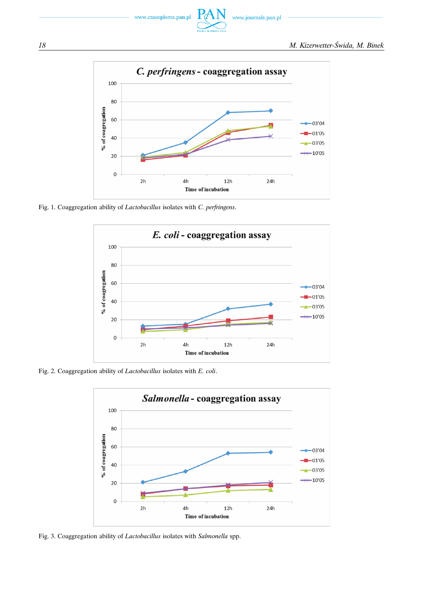



Fig. 1. Coaggregation ability of *Lactobacillus* isolates with *C. perfringens*.



Fig. 2. Coaggregation ability of *Lactobacillus* isolates with *E. coli*.



Fig. 3. Coaggregation ability of *Lactobacillus* isolates with *Salmonella* spp.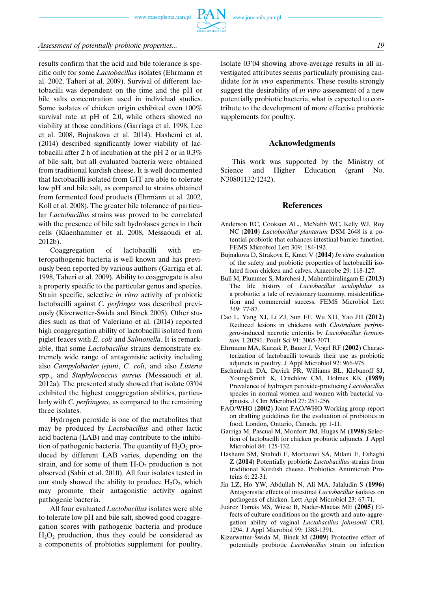www.czasopisma.pan.pl



results confirm that the acid and bile tolerance is specific only for some *Lactobacillus* isolates (Ehrmann et al. 2002, Taheri at al. 2009). Survival of different lactobacilli was dependent on the time and the pH or bile salts concentration used in individual studies. Some isolates of chicken origin exhibited even 100% survival rate at pH of 2.0, while others showed no viability at those conditions (Garriaga et al. 1998, Lee et al. 2008, Bujnakova et al. 2014). Hashemi et al. (2014) described significantly lower viability of lactobacilli after 2 h of incubation at the pH 2 or in 0.3% of bile salt, but all evaluated bacteria were obtained from traditional kurdish cheese. It is well documented that lactobacilli isolated from GIT are able to tolerate low pH and bile salt, as compared to strains obtained from fermented food products (Ehrmann et al. 2002, Koll et al. 2008). The greater bile tolerance of particular *Lactobacillus* strains was proved to be correlated with the presence of bile salt hydrolases genes in their cells (Klaenhammer et al. 2008, Messaoudi et al. 2012b).

Coaggregation of lactobacilli with enteropathogenic bacteria is well known and has previously been reported by various authors (Garriga et al. 1998, Taheri et al. 2009). Ability to coaggregate is also a property specific to the particular genus and species. Strain specific, selective *in vitro* activity of probiotic lactobacilli against *C. perfringes* was described previously (Kizerwetter-Świda and Binek 2005). Other studies such as that of Valeriano et al. (2014) reported high coaggregation ability of lactobacilli isolated from piglet feaces with *E. coli* and *Salmonella*. It is remarkable, that some *Lactobacillus* strains demonstrate extremely wide range of antagonistic activity including also *Campylobacter jejuni*, *C. coli*, and also *Listeria* spp., and *Staphylococcus aureus* (Messaoudi et al. 2012a). The presented study showed that isolate 03'04 exhibited the highest coaggregation abilities, particularly with *C. perfringens*, as compared to the remaining three isolates.

Hydrogen peroxide is one of the metabolites that may be produced by *Lactobacillus* and other lactic acid bacteria (LAB) and may contribute to the inhibition of pathogenic bacteria. The quantity of  $H_2O_2$  produced by different LAB varies, depending on the strain, and for some of them  $H_2O_2$  production is not observed (Sabir et al. 2010). All four isolates tested in our study showed the ability to produce  $H_2O_2$ , which may promote their antagonistic activity against pathogenic bacteria.

All four evaluated *Lactobacillus* isolates were able to tolerate low pH and bile salt, showed good coaggregation scores with pathogenic bacteria and produce  $H_2O_2$  production, thus they could be considered as a components of probiotics supplement for poultry. Isolate 03'04 showing above-average results in all investigated attributes seems particularly promising candidate for *in vivo* experiments. These results strongly suggest the desirability of *in vitro* assessment of a new potentially probiotic bacteria, what is expected to contribute to the development of more effective probiotic supplements for poultry.

#### **Acknowledgments**

This work was supported by the Ministry of Science and Higher Education (grant No. N30801132/1242).

#### **References**

- Anderson RC, Cookson AL., McNabb WC, Kelly WJ, Roy NC (**2010**) *Lactobacillus plantarum* DSM 2648 is a potential probiotic that enhances intestinal barrier function. FEMS Microbiol Lett 309: 184-192.
- Bujnakova D, Strakova E, Kmet V (**2014**) *In vitro* evaluation of the safety and probiotic properties of lactobacilli isolated from chicken and calves. Anaerobe 29: 118-127.
- Bull M, Plummer S, Marchesi J, Mahenthiralingam E (**2013**) The life history of *Lactobacillus acidophilus* as a probiotic: a tale of revisionary taxonomy, misidentification and commercial success. FEMS Microbiol Lett 349: 77-87.
- Cao L, Yang XJ, Li ZJ, Sun FF, Wu XH, Yao JH (**2012**) Reduced lesions in chickens with *Clostridium perfringens*-induced necrotic enteritis by *Lactobacillus fermentum* 1.20291. Poult Sci 91: 3065-3071.
- Ehrmann MA, Kurzak P, Bauer J, Vogel RF (**2002**) Characterization of lactobacilli towards their use as probiotic adjuncts in poultry. J Appl Microbiol 92: 966-975.
- Eschenbach DA, Davick PR, Williams BL, Klebanoff SJ, Young-Smith K, Critchlow CM, Holmes KK (**1989**) Prevalence of hydrogen peroxide-producing *Lactobacillus* species in normal women and women with bacterial vaginosis. J Clin Microbiol 27: 251-256.
- FAO/WHO (**2002**) Joint FAO/WHO Working group report on drafting guidelines for the evaluation of probiotics in food. London, Ontario, Canada, pp 1-11.
- Garriga M, Pascual M, Monfort JM, Hugas M (**1998**) Selection of lactobacilli for chicken probiotic adjuncts. J Appl Microbiol 84: 125-132.
- Hashemi SM, Shahidi F, Mortazavi SA, Milani E, Eshaghi Z (**2014**) Potentially probiotic *Lactobacillus* strains from traditional Kurdish cheese. Probiotics Antimicrob Proteins 6: 22-31.
- Jin LZ, Ho YW, Abdullah N, Ali MA, Jalaludin S (**1996**) Antagonistic effects of intestinal *Lactobacillus* isolates on pathogens of chicken. Lett Appl Microbiol 23: 67-71.
- Juárez Tomás MS, Wiese B, Nader-Macías ME (2005) Effects of culture conditions on the growth and auto-aggregation ability of vaginal *Lactobacillus johnsonii* CRL 1294. J Appl Microbiol 99: 1383-1391.
- Kizerwetter-Świda M, Binek M (**2009**) Protective effect of potentially probiotic *Lactobacillus* strain on infection